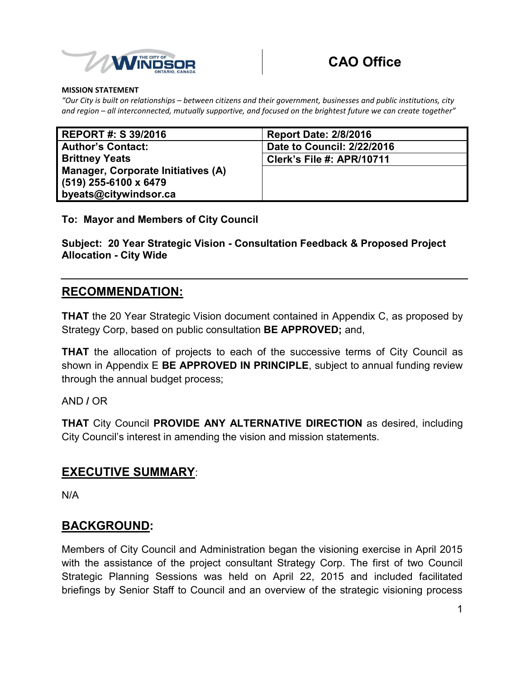

#### **MISSION STATEMENT**

 *and region – all interconnected, mutually supportive, and focused on the brightest future we can create together" "Our City is built on relationships – between citizens and their government, businesses and public institutions, city* 

| <b>REPORT #: S 39/2016</b>         | <b>Report Date: 2/8/2016</b>     |
|------------------------------------|----------------------------------|
| <b>Author's Contact:</b>           | Date to Council: 2/22/2016       |
| <b>Brittney Yeats</b>              | <b>Clerk's File #: APR/10711</b> |
| Manager, Corporate Initiatives (A) |                                  |
| $(519)$ 255-6100 x 6479            |                                  |
| byeats@citywindsor.ca              |                                  |

#### **To: Mayor and Members of City Council**

 **Subject: 20 Year Strategic Vision - Consultation Feedback & Proposed Project Allocation - City Wide** 

#### **RECOMMENDATION:**

 **THAT** the 20 Year Strategic Vision document contained in Appendix C, as proposed by Strategy Corp, based on public consultation **BE APPROVED;** and,

 **THAT** the allocation of projects to each of the successive terms of City Council as shown in Appendix E **BE APPROVED IN PRINCIPLE**, subject to annual funding review through the annual budget process;

AND **/** OR

 **THAT** City Council **PROVIDE ANY ALTERNATIVE DIRECTION** as desired, including City Council's interest in amending the vision and mission statements.

### **EXECUTIVE SUMMARY**:

N/A

### **BACKGROUND:**

 Members of City Council and Administration began the visioning exercise in April 2015 with the assistance of the project consultant Strategy Corp. The first of two Council Strategic Planning Sessions was held on April 22, 2015 and included facilitated briefings by Senior Staff to Council and an overview of the strategic visioning process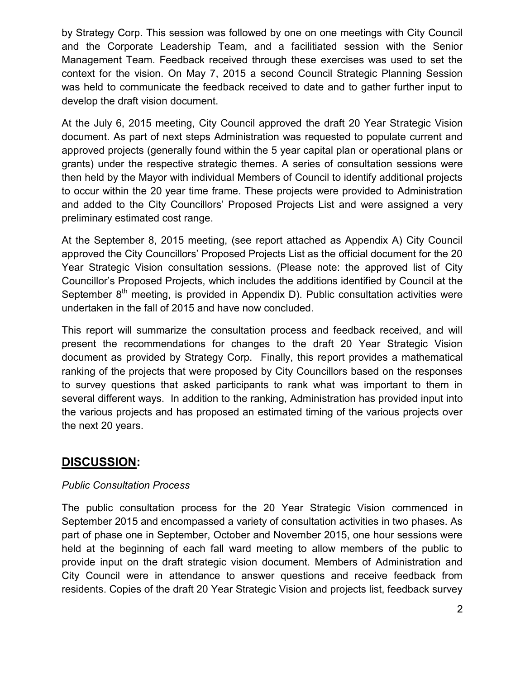by Strategy Corp. This session was followed by one on one meetings with City Council and the Corporate Leadership Team, and a facilitiated session with the Senior Management Team. Feedback received through these exercises was used to set the context for the vision. On May 7, 2015 a second Council Strategic Planning Session was held to communicate the feedback received to date and to gather further input to develop the draft vision document.

 At the July 6, 2015 meeting, City Council approved the draft 20 Year Strategic Vision document. As part of next steps Administration was requested to populate current and approved projects (generally found within the 5 year capital plan or operational plans or grants) under the respective strategic themes. A series of consultation sessions were then held by the Mayor with individual Members of Council to identify additional projects to occur within the 20 year time frame. These projects were provided to Administration and added to the City Councillors' Proposed Projects List and were assigned a very preliminary estimated cost range.

 At the September 8, 2015 meeting, (see report attached as Appendix A) City Council approved the City Councillors' Proposed Projects List as the official document for the 20 Year Strategic Vision consultation sessions. (Please note: the approved list of City Councillor's Proposed Projects, which includes the additions identified by Council at the September  $8^{th}$  meeting, is provided in Appendix D). Public consultation activities were undertaken in the fall of 2015 and have now concluded.

 This report will summarize the consultation process and feedback received, and will present the recommendations for changes to the draft 20 Year Strategic Vision document as provided by Strategy Corp. Finally, this report provides a mathematical ranking of the projects that were proposed by City Councillors based on the responses to survey questions that asked participants to rank what was important to them in several different ways. In addition to the ranking, Administration has provided input into the various projects and has proposed an estimated timing of the various projects over the next 20 years.

# **DISCUSSION:**

#### *Public Consultation Process*

 The public consultation process for the 20 Year Strategic Vision commenced in September 2015 and encompassed a variety of consultation activities in two phases. As part of phase one in September, October and November 2015, one hour sessions were held at the beginning of each fall ward meeting to allow members of the public to provide input on the draft strategic vision document. Members of Administration and City Council were in attendance to answer questions and receive feedback from residents. Copies of the draft 20 Year Strategic Vision and projects list, feedback survey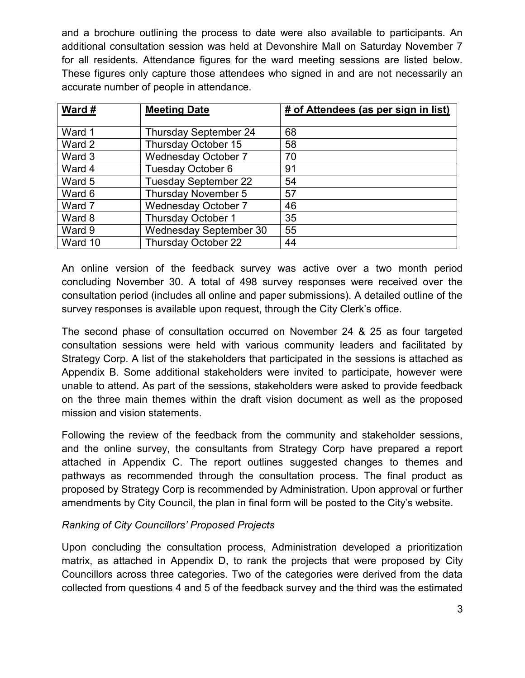and a brochure outlining the process to date were also available to participants. An additional consultation session was held at Devonshire Mall on Saturday November 7 for all residents. Attendance figures for the ward meeting sessions are listed below. These figures only capture those attendees who signed in and are not necessarily an accurate number of people in attendance.

| Ward #  | <b>Meeting Date</b>           | # of Attendees (as per sign in list) |
|---------|-------------------------------|--------------------------------------|
|         |                               |                                      |
| Ward 1  | <b>Thursday September 24</b>  | 68                                   |
| Ward 2  | Thursday October 15           | 58                                   |
| Ward 3  | <b>Wednesday October 7</b>    | 70                                   |
| Ward 4  | Tuesday October 6             | 91                                   |
| Ward 5  | <b>Tuesday September 22</b>   | 54                                   |
| Ward 6  | Thursday November 5           | 57                                   |
| Ward 7  | <b>Wednesday October 7</b>    | 46                                   |
| Ward 8  | Thursday October 1            | 35                                   |
| Ward 9  | <b>Wednesday September 30</b> | 55                                   |
| Ward 10 | <b>Thursday October 22</b>    | 44                                   |

 An online version of the feedback survey was active over a two month period concluding November 30. A total of 498 survey responses were received over the consultation period (includes all online and paper submissions). A detailed outline of the survey responses is available upon request, through the City Clerk's office.

 The second phase of consultation occurred on November 24 & 25 as four targeted consultation sessions were held with various community leaders and facilitated by Strategy Corp. A list of the stakeholders that participated in the sessions is attached as Appendix B. Some additional stakeholders were invited to participate, however were unable to attend. As part of the sessions, stakeholders were asked to provide feedback on the three main themes within the draft vision document as well as the proposed mission and vision statements.

 Following the review of the feedback from the community and stakeholder sessions, and the online survey, the consultants from Strategy Corp have prepared a report attached in Appendix C. The report outlines suggested changes to themes and pathways as recommended through the consultation process. The final product as amendments by City Council, the plan in final form will be posted to the City's website. proposed by Strategy Corp is recommended by Administration. Upon approval or further

### *Ranking of City Councillors' Proposed Projects*

 Upon concluding the consultation process, Administration developed a prioritization matrix, as attached in Appendix D, to rank the projects that were proposed by City Councillors across three categories. Two of the categories were derived from the data collected from questions 4 and 5 of the feedback survey and the third was the estimated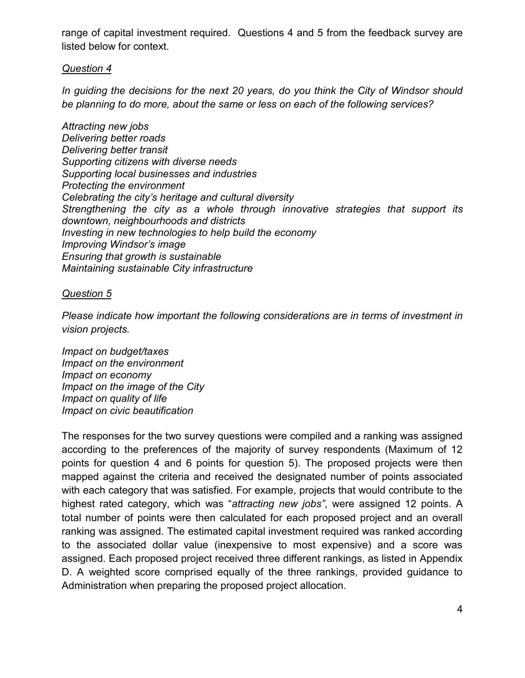range of capital investment required. Questions 4 and 5 from the feedback survey are listed below for context.

#### *Question 4*

 *In guiding the decisions for the next 20 years, do you think the City of Windsor should be planning to do more, about the same or less on each of the following services?* 

 *Supporting citizens with diverse needs Strengthening the city as a whole through innovative strategies that support its Attracting new jobs Delivering better roads Delivering better transit Supporting local businesses and industries Protecting the environment Celebrating the city's heritage and cultural diversity downtown, neighbourhoods and districts Investing in new technologies to help build the economy Improving Windsor's image Ensuring that growth is sustainable Maintaining sustainable City infrastructure* 

#### *Question 5*

 *Please indicate how important the following considerations are in terms of investment in vision projects.* 

*lmpact on budget/taxes lmpact on the environment lmpact on economy lmpact on quality of life* **Impact on civic beautification** *Impact on budget/taxes<br>Impact on the environment<br>Impact on economy<br>Impact on quality of life<br>Impact on civic beautification<br>Impact on civic beautification* 

 The responses for the two survey questions were compiled and a ranking was assigned according to the preferences of the majority of survey respondents (Maximum of 12 points for question 4 and 6 points for question 5). The proposed projects were then mapped against the criteria and received the designated number of points associated with each category that was satisfied. For example, projects that would contribute to the  highest rated category, which was "*attracting new jobs"*, were assigned 12 points. A total number of points were then calculated for each proposed project and an overall ranking was assigned. The estimated capital investment required was ranked according to the associated dollar value (inexpensive to most expensive) and a score was assigned. Each proposed project received three different rankings, as listed in Appendix D. A weighted score comprised equally of the three rankings, provided guidance to Administration when preparing the proposed project allocation.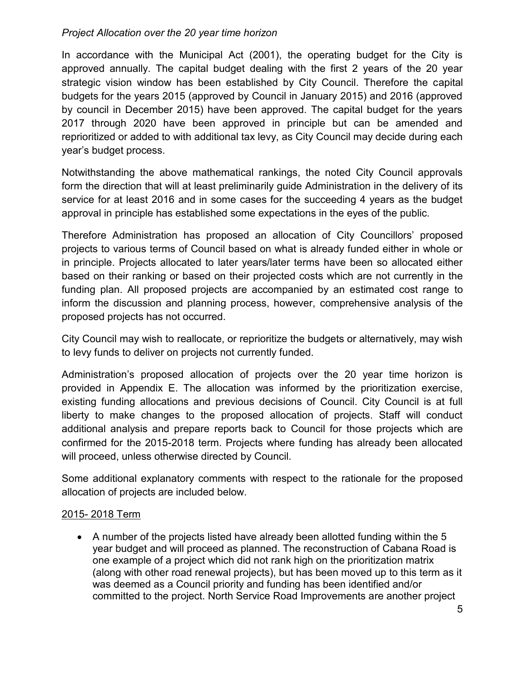#### *Project Allocation over the 20 year time horizon*

 In accordance with the Municipal Act (2001), the operating budget for the City is approved annually. The capital budget dealing with the first 2 years of the 20 year strategic vision window has been established by City Council. Therefore the capital budgets for the years 2015 (approved by Council in January 2015) and 2016 (approved by council in December 2015) have been approved. The capital budget for the years 2017 through 2020 have been approved in principle but can be amended and reprioritized or added to with additional tax levy, as City Council may decide during each year's budget process.

 Notwithstanding the above mathematical rankings, the noted City Council approvals form the direction that will at least preliminarily guide Administration in the delivery of its service for at least 2016 and in some cases for the succeeding 4 years as the budget approval in principle has established some expectations in the eyes of the public.

 Therefore Administration has proposed an allocation of City Councillors' proposed projects to various terms of Council based on what is already funded either in whole or in principle. Projects allocated to later years/later terms have been so allocated either based on their ranking or based on their projected costs which are not currently in the funding plan. All proposed projects are accompanied by an estimated cost range to inform the discussion and planning process, however, comprehensive analysis of the proposed projects has not occurred.

 City Council may wish to reallocate, or reprioritize the budgets or alternatively, may wish to levy funds to deliver on projects not currently funded.

 Administration's proposed allocation of projects over the 20 year time horizon is provided in Appendix E. The allocation was informed by the prioritization exercise, existing funding allocations and previous decisions of Council. City Council is at full liberty to make changes to the proposed allocation of projects. Staff will conduct additional analysis and prepare reports back to Council for those projects which are confirmed for the 2015-2018 term. Projects where funding has already been allocated will proceed, unless otherwise directed by Council.

 Some additional explanatory comments with respect to the rationale for the proposed allocation of projects are included below.

### 2015- 2018 Term

 A number of the projects listed have already been allotted funding within the 5 one example of a project which did not rank high on the prioritization matrix year budget and will proceed as planned. The reconstruction of Cabana Road is (along with other road renewal projects), but has been moved up to this term as it was deemed as a Council priority and funding has been identified and/or committed to the project. North Service Road Improvements are another project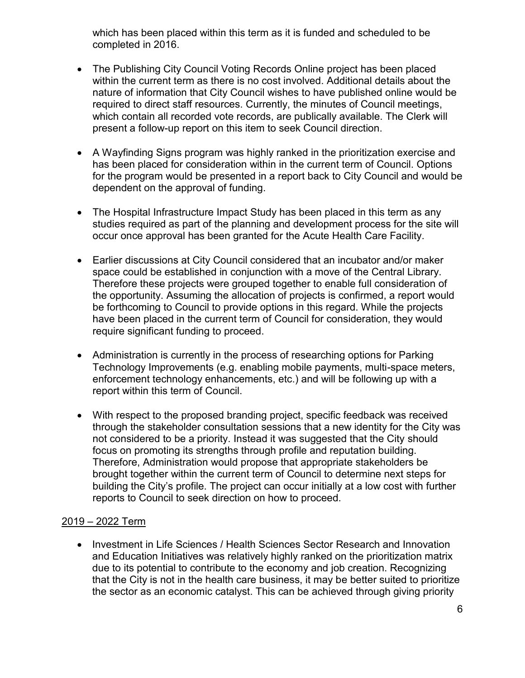completed in 2016. which has been placed within this term as it is funded and scheduled to be

- The Publishing City Council Voting Records Online project has been placed present a follow-up report on this item to seek Council direction. within the current term as there is no cost involved. Additional details about the nature of information that City Council wishes to have published online would be required to direct staff resources. Currently, the minutes of Council meetings, which contain all recorded vote records, are publically available. The Clerk will
- A Wayfinding Signs program was highly ranked in the prioritization exercise and has been placed for consideration within in the current term of Council. Options for the program would be presented in a report back to City Council and would be dependent on the approval of funding.
- The Hospital Infrastructure Impact Study has been placed in this term as any studies required as part of the planning and development process for the site will occur once approval has been granted for the Acute Health Care Facility.
- Therefore these projects were grouped together to enable full consideration of require significant funding to proceed. Earlier discussions at City Council considered that an incubator and/or maker space could be established in conjunction with a move of the Central Library. the opportunity. Assuming the allocation of projects is confirmed, a report would be forthcoming to Council to provide options in this regard. While the projects have been placed in the current term of Council for consideration, they would
- Administration is currently in the process of researching options for Parking Technology Improvements (e.g. enabling mobile payments, multi-space meters, enforcement technology enhancements, etc.) and will be following up with a report within this term of Council.
- not considered to be a priority. Instead it was suggested that the City should focus on promoting its strengths through profile and reputation building. building the City's profile. The project can occur initially at a low cost with further reports to Council to seek direction on how to proceed. With respect to the proposed branding project, specific feedback was received through the stakeholder consultation sessions that a new identity for the City was Therefore, Administration would propose that appropriate stakeholders be brought together within the current term of Council to determine next steps for

#### 2019 – 2022 Term

 and Education Initiatives was relatively highly ranked on the prioritization matrix that the City is not in the health care business, it may be better suited to prioritize • Investment in Life Sciences / Health Sciences Sector Research and Innovation due to its potential to contribute to the economy and job creation. Recognizing the sector as an economic catalyst. This can be achieved through giving priority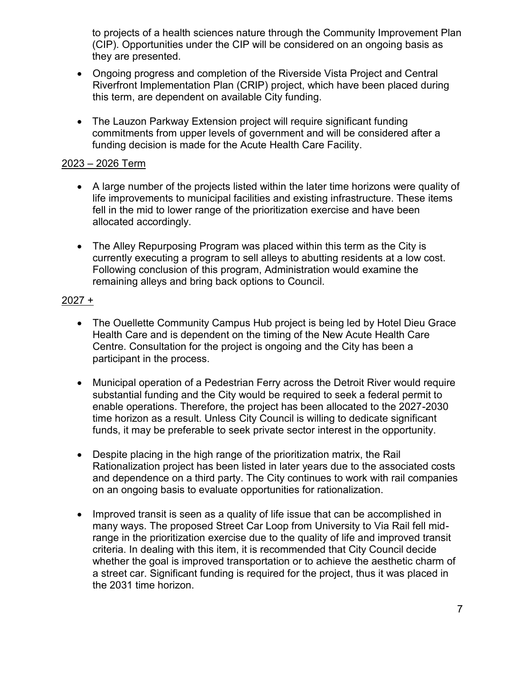to projects of a health sciences nature through the Community Improvement Plan (CIP). Opportunities under the CIP will be considered on an ongoing basis as they are presented.

- Ongoing progress and completion of the Riverside Vista Project and Central Riverfront Implementation Plan (CRIP) project, which have been placed during this term, are dependent on available City funding.
- The Lauzon Parkway Extension project will require significant funding commitments from upper levels of government and will be considered after a funding decision is made for the Acute Health Care Facility.

#### 2023 – 2026 Term

- fell in the mid to lower range of the prioritization exercise and have been A large number of the projects listed within the later time horizons were quality of life improvements to municipal facilities and existing infrastructure. These items allocated accordingly.
- The Alley Repurposing Program was placed within this term as the City is currently executing a program to sell alleys to abutting residents at a low cost.<br>Following conclusion of this program, Administration would examine the Following conclusion of this program, Administration would examine the remaining alleys and bring back options to Council.

#### 2027 +

- Health Care and is dependent on the timing of the New Acute Health Care participant in the process. The Ouellette Community Campus Hub project is being led by Hotel Dieu Grace Centre. Consultation for the project is ongoing and the City has been a
- Municipal operation of a Pedestrian Ferry across the Detroit River would require substantial funding and the City would be required to seek a federal permit to enable operations. Therefore, the project has been allocated to the 2027-2030 time horizon as a result. Unless City Council is willing to dedicate significant funds, it may be preferable to seek private sector interest in the opportunity.
- Despite placing in the high range of the prioritization matrix, the Rail Rationalization project has been listed in later years due to the associated costs and dependence on a third party. The City continues to work with rail companies on an ongoing basis to evaluate opportunities for rationalization.
- $\bullet$  criteria. In dealing with this item, it is recommended that City Council decide a street car. Significant funding is required for the project, thus it was placed in the 2031 time horizon. Improved transit is seen as a quality of life issue that can be accomplished in many ways. The proposed Street Car Loop from University to Via Rail fell midrange in the prioritization exercise due to the quality of life and improved transit whether the goal is improved transportation or to achieve the aesthetic charm of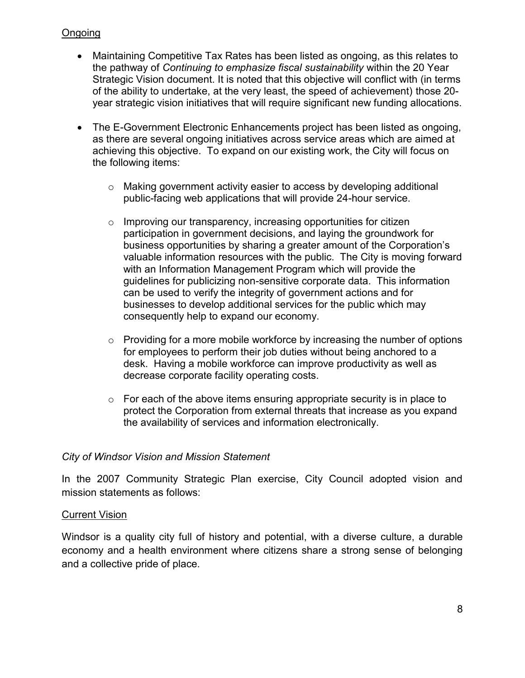#### Ongoing

- the pathway of *Continuing to emphasize fiscal sustainability* within the 20 Year Strategic Vision document. It is noted that this objective will conflict with (in terms of the ability to undertake, at the very least, the speed of achievement) those 20- Maintaining Competitive Tax Rates has been listed as ongoing, as this relates to year strategic vision initiatives that will require significant new funding allocations.
- The E-Government Electronic Enhancements project has been listed as ongoing, as there are several ongoing initiatives across service areas which are aimed at achieving this objective. To expand on our existing work, the City will focus on the following items:
	- public-facing web applications that will provide 24-hour service.  $\circ$  Making government activity easier to access by developing additional
	- valuable information resources with the public. The City is moving forward guidelines for publicizing non-sensitive corporate data. This information  $\circ$  Improving our transparency, increasing opportunities for citizen participation in government decisions, and laying the groundwork for business opportunities by sharing a greater amount of the Corporation's with an Information Management Program which will provide the can be used to verify the integrity of government actions and for businesses to develop additional services for the public which may consequently help to expand our economy.
	- for employees to perform their job duties without being anchored to a  $\circ$  Providing for a more mobile workforce by increasing the number of options desk. Having a mobile workforce can improve productivity as well as decrease corporate facility operating costs.
	- $\circ$  For each of the above items ensuring appropriate security is in place to the availability of services and information electronically. protect the Corporation from external threats that increase as you expand

#### *City of Windsor Vision and Mission Statement*

 In the 2007 Community Strategic Plan exercise, City Council adopted vision and mission statements as follows:

#### **Current Vision**

<u>Current Vision</u><br>Windsor is a quality city full of history and potential, with a diverse culture, a durable economy and a health environment where citizens share a strong sense of belonging and a collective pride of place.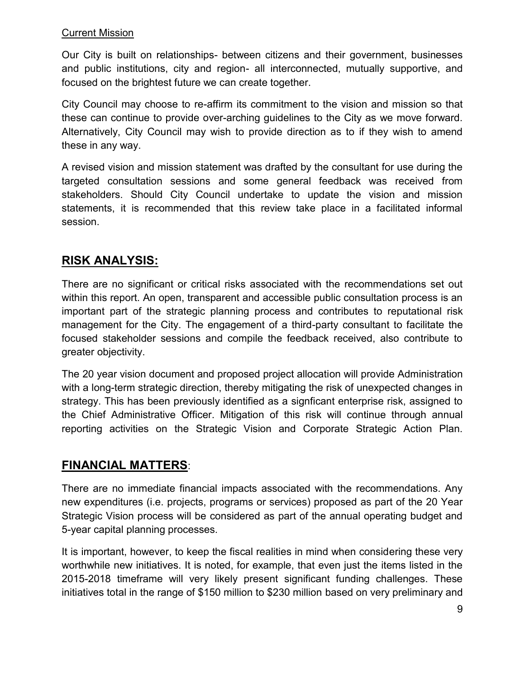#### Current Mission

 Our City is built on relationships- between citizens and their government, businesses and public institutions, city and region- all interconnected, mutually supportive, and focused on the brightest future we can create together.

 City Council may choose to re-affirm its commitment to the vision and mission so that these can continue to provide over-arching guidelines to the City as we move forward. Alternatively, City Council may wish to provide direction as to if they wish to amend these in any way.

 A revised vision and mission statement was drafted by the consultant for use during the targeted consultation sessions and some general feedback was received from stakeholders. Should City Council undertake to update the vision and mission statements, it is recommended that this review take place in a facilitated informal session.

# **RISK ANALYSIS:**

 There are no significant or critical risks associated with the recommendations set out within this report. An open, transparent and accessible public consultation process is an important part of the strategic planning process and contributes to reputational risk management for the City. The engagement of a third-party consultant to facilitate the focused stakeholder sessions and compile the feedback received, also contribute to greater objectivity.

 The 20 year vision document and proposed project allocation will provide Administration with a long-term strategic direction, thereby mitigating the risk of unexpected changes in strategy. This has been previously identified as a signficant enterprise risk, assigned to the Chief Administrative Officer. Mitigation of this risk will continue through annual reporting activities on the Strategic Vision and Corporate Strategic Action Plan.

## **FINANCIAL MATTERS**:

 There are no immediate financial impacts associated with the recommendations. Any new expenditures (i.e. projects, programs or services) proposed as part of the 20 Year Strategic Vision process will be considered as part of the annual operating budget and 5-year capital planning processes.

 It is important, however, to keep the fiscal realities in mind when considering these very worthwhile new initiatives. It is noted, for example, that even just the items listed in the 2015-2018 timeframe will very likely present significant funding challenges. These initiatives total in the range of \$150 million to \$230 million based on very preliminary and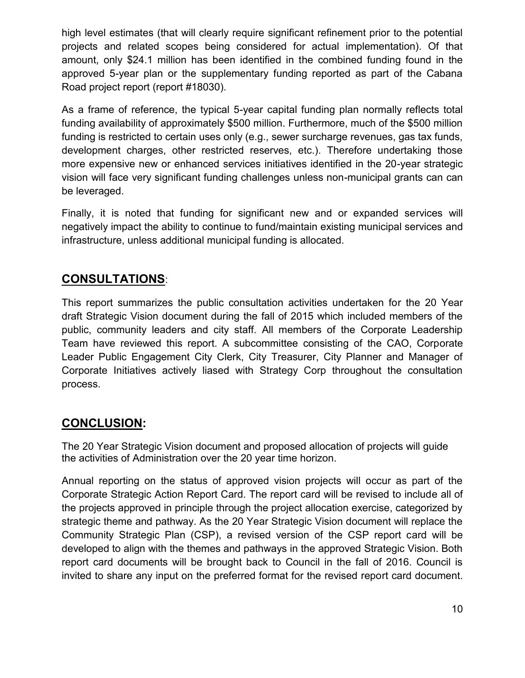high level estimates (that will clearly require significant refinement prior to the potential projects and related scopes being considered for actual implementation). Of that amount, only \$24.1 million has been identified in the combined funding found in the approved 5-year plan or the supplementary funding reported as part of the Cabana Road project report (report #18030).

 As a frame of reference, the typical 5-year capital funding plan normally reflects total funding availability of approximately \$500 million. Furthermore, much of the \$500 million development charges, other restricted reserves, etc.). Therefore undertaking those more expensive new or enhanced services initiatives identified in the 20-year strategic vision will face very significant funding challenges unless non-municipal grants can can funding is restricted to certain uses only (e.g., sewer surcharge revenues, gas tax funds, be leveraged.

 Finally, it is noted that funding for significant new and or expanded services will negatively impact the ability to continue to fund/maintain existing municipal services and infrastructure, unless additional municipal funding is allocated.

# **CONSULTATIONS**:

 This report summarizes the public consultation activities undertaken for the 20 Year draft Strategic Vision document during the fall of 2015 which included members of the public, community leaders and city staff. All members of the Corporate Leadership Team have reviewed this report. A subcommittee consisting of the CAO, Corporate Leader Public Engagement City Clerk, City Treasurer, City Planner and Manager of Corporate Initiatives actively liased with Strategy Corp throughout the consultation process.

# **CONCLUSION:**

 The 20 Year Strategic Vision document and proposed allocation of projects will guide the activities of Administration over the 20 year time horizon.

 Annual reporting on the status of approved vision projects will occur as part of the Corporate Strategic Action Report Card. The report card will be revised to include all of the projects approved in principle through the project allocation exercise, categorized by strategic theme and pathway. As the 20 Year Strategic Vision document will replace the Community Strategic Plan (CSP), a revised version of the CSP report card will be developed to align with the themes and pathways in the approved Strategic Vision. Both report card documents will be brought back to Council in the fall of 2016. Council is invited to share any input on the preferred format for the revised report card document.